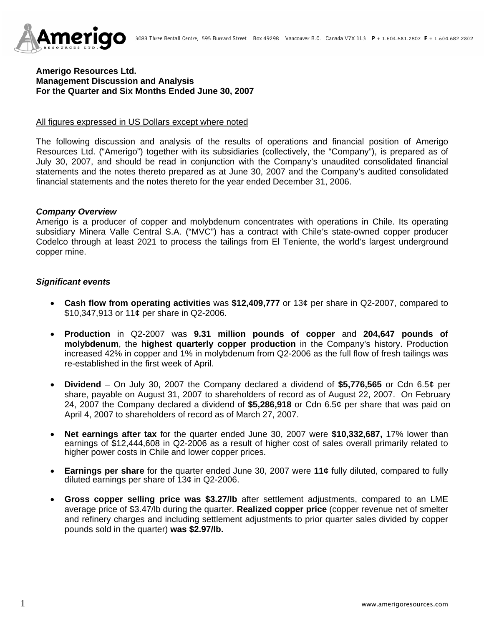

### **Amerigo Resources Ltd. Management Discussion and Analysis For the Quarter and Six Months Ended June 30, 2007**

#### All figures expressed in US Dollars except where noted

The following discussion and analysis of the results of operations and financial position of Amerigo Resources Ltd. ("Amerigo") together with its subsidiaries (collectively, the "Company"), is prepared as of July 30, 2007, and should be read in conjunction with the Company's unaudited consolidated financial statements and the notes thereto prepared as at June 30, 2007 and the Company's audited consolidated financial statements and the notes thereto for the year ended December 31, 2006.

#### *Company Overview*

Amerigo is a producer of copper and molybdenum concentrates with operations in Chile. Its operating subsidiary Minera Valle Central S.A. ("MVC") has a contract with Chile's state-owned copper producer Codelco through at least 2021 to process the tailings from El Teniente, the world's largest underground copper mine.

### *Significant events*

- **Cash flow from operating activities** was **\$12,409,777** or 13¢ per share in Q2-2007, compared to \$10,347,913 or 11¢ per share in Q2-2006.
- **Production** in Q2-2007 was **9.31 million pounds of copper** and **204,647 pounds of molybdenum**, the **highest quarterly copper production** in the Company's history. Production increased 42% in copper and 1% in molybdenum from Q2-2006 as the full flow of fresh tailings was re-established in the first week of April.
- **Dividend**  On July 30, 2007 the Company declared a dividend of **\$5,776,565** or Cdn 6.5¢ per share, payable on August 31, 2007 to shareholders of record as of August 22, 2007. On February 24, 2007 the Company declared a dividend of **\$5,286,918** or Cdn 6.5¢ per share that was paid on April 4, 2007 to shareholders of record as of March 27, 2007.
- **Net earnings after tax** for the quarter ended June 30, 2007 were **\$10,332,687,** 17% lower than earnings of \$12,444,608 in Q2-2006 as a result of higher cost of sales overall primarily related to higher power costs in Chile and lower copper prices.
- **Earnings per share** for the quarter ended June 30, 2007 were **11¢** fully diluted, compared to fully diluted earnings per share of 13¢ in Q2-2006.
- **Gross copper selling price was \$3.27/lb** after settlement adjustments, compared to an LME average price of \$3.47/lb during the quarter. **Realized copper price** (copper revenue net of smelter and refinery charges and including settlement adjustments to prior quarter sales divided by copper pounds sold in the quarter) **was \$2.97/lb.**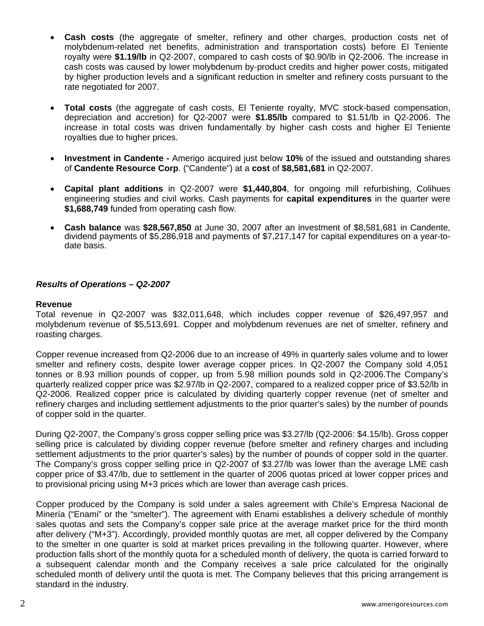- **Cash costs** (the aggregate of smelter, refinery and other charges, production costs net of molybdenum-related net benefits, administration and transportation costs) before El Teniente royalty were **\$1.19/lb** in Q2-2007, compared to cash costs of \$0.90/lb in Q2-2006. The increase in cash costs was caused by lower molybdenum by-product credits and higher power costs, mitigated by higher production levels and a significant reduction in smelter and refinery costs pursuant to the rate negotiated for 2007.
- **Total costs** (the aggregate of cash costs, El Teniente royalty, MVC stock-based compensation, depreciation and accretion) for Q2-2007 were **\$1.85/lb** compared to \$1.51/lb in Q2-2006. The increase in total costs was driven fundamentally by higher cash costs and higher El Teniente royalties due to higher prices.
- **Investment in Candente** Amerigo acquired just below **10%** of the issued and outstanding shares of **Candente Resource Corp**. ("Candente") at a **cost** of **\$8,581,681** in Q2-2007.
- **Capital plant additions** in Q2-2007 were **\$1,440,804**, for ongoing mill refurbishing, Colihues engineering studies and civil works. Cash payments for **capital expenditures** in the quarter were **\$1,688,749** funded from operating cash flow.
- **Cash balance** was **\$28,567,850** at June 30, 2007 after an investment of \$8,581,681 in Candente, dividend payments of \$5,286,918 and payments of \$7,217,147 for capital expenditures on a year-todate basis.

# *Results of Operations – Q2-2007*

#### **Revenue**

Total revenue in Q2-2007 was \$32,011,648, which includes copper revenue of \$26,497,957 and molybdenum revenue of \$5,513,691. Copper and molybdenum revenues are net of smelter, refinery and roasting charges.

Copper revenue increased from Q2-2006 due to an increase of 49% in quarterly sales volume and to lower smelter and refinery costs, despite lower average copper prices. In Q2-2007 the Company sold 4,051 tonnes or 8.93 million pounds of copper, up from 5.98 million pounds sold in Q2-2006.The Company's quarterly realized copper price was \$2.97/lb in Q2-2007, compared to a realized copper price of \$3.52/lb in Q2-2006. Realized copper price is calculated by dividing quarterly copper revenue (net of smelter and refinery charges and including settlement adjustments to the prior quarter's sales) by the number of pounds of copper sold in the quarter.

During Q2-2007, the Company's gross copper selling price was \$3.27/lb (Q2-2006: \$4.15/lb). Gross copper selling price is calculated by dividing copper revenue (before smelter and refinery charges and including settlement adjustments to the prior quarter's sales) by the number of pounds of copper sold in the quarter. The Company's gross copper selling price in Q2-2007 of \$3.27/lb was lower than the average LME cash copper price of \$3.47/lb, due to settlement in the quarter of 2006 quotas priced at lower copper prices and to provisional pricing using M+3 prices which are lower than average cash prices.

Copper produced by the Company is sold under a sales agreement with Chile's Empresa Nacional de Minería ("Enami" or the "smelter"). The agreement with Enami establishes a delivery schedule of monthly sales quotas and sets the Company's copper sale price at the average market price for the third month after delivery ("M+3"). Accordingly, provided monthly quotas are met, all copper delivered by the Company to the smelter in one quarter is sold at market prices prevailing in the following quarter. However, where production falls short of the monthly quota for a scheduled month of delivery, the quota is carried forward to a subsequent calendar month and the Company receives a sale price calculated for the originally scheduled month of delivery until the quota is met. The Company believes that this pricing arrangement is standard in the industry.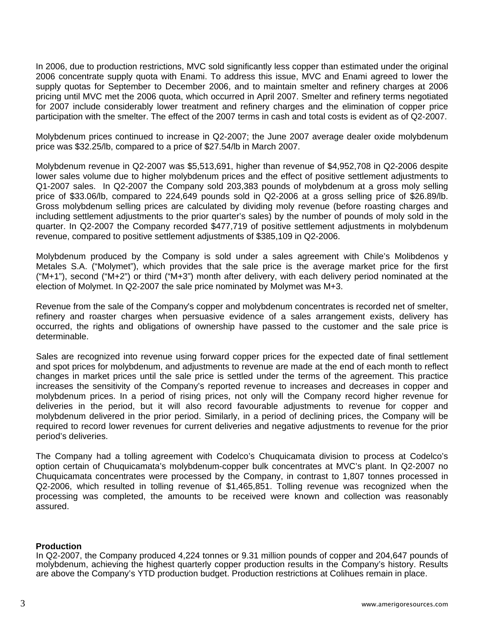In 2006, due to production restrictions, MVC sold significantly less copper than estimated under the original 2006 concentrate supply quota with Enami. To address this issue, MVC and Enami agreed to lower the supply quotas for September to December 2006, and to maintain smelter and refinery charges at 2006 pricing until MVC met the 2006 quota, which occurred in April 2007. Smelter and refinery terms negotiated for 2007 include considerably lower treatment and refinery charges and the elimination of copper price participation with the smelter. The effect of the 2007 terms in cash and total costs is evident as of Q2-2007.

Molybdenum prices continued to increase in Q2-2007; the June 2007 average dealer oxide molybdenum price was \$32.25/lb, compared to a price of \$27.54/lb in March 2007.

Molybdenum revenue in Q2-2007 was \$5,513,691, higher than revenue of \$4,952,708 in Q2-2006 despite lower sales volume due to higher molybdenum prices and the effect of positive settlement adjustments to Q1-2007 sales. In Q2-2007 the Company sold 203,383 pounds of molybdenum at a gross moly selling price of \$33.06/lb, compared to 224,649 pounds sold in Q2-2006 at a gross selling price of \$26.89/lb. Gross molybdenum selling prices are calculated by dividing moly revenue (before roasting charges and including settlement adjustments to the prior quarter's sales) by the number of pounds of moly sold in the quarter. In Q2-2007 the Company recorded \$477,719 of positive settlement adjustments in molybdenum revenue, compared to positive settlement adjustments of \$385,109 in Q2-2006.

Molybdenum produced by the Company is sold under a sales agreement with Chile's Molibdenos y Metales S.A. ("Molymet"), which provides that the sale price is the average market price for the first ("M+1"), second ("M+2") or third ("M+3") month after delivery, with each delivery period nominated at the election of Molymet. In Q2-2007 the sale price nominated by Molymet was M+3.

Revenue from the sale of the Company's copper and molybdenum concentrates is recorded net of smelter, refinery and roaster charges when persuasive evidence of a sales arrangement exists, delivery has occurred, the rights and obligations of ownership have passed to the customer and the sale price is determinable.

Sales are recognized into revenue using forward copper prices for the expected date of final settlement and spot prices for molybdenum, and adjustments to revenue are made at the end of each month to reflect changes in market prices until the sale price is settled under the terms of the agreement. This practice increases the sensitivity of the Company's reported revenue to increases and decreases in copper and molybdenum prices. In a period of rising prices, not only will the Company record higher revenue for deliveries in the period, but it will also record favourable adjustments to revenue for copper and molybdenum delivered in the prior period. Similarly, in a period of declining prices, the Company will be required to record lower revenues for current deliveries and negative adjustments to revenue for the prior period's deliveries.

The Company had a tolling agreement with Codelco's Chuquicamata division to process at Codelco's option certain of Chuquicamata's molybdenum-copper bulk concentrates at MVC's plant. In Q2-2007 no Chuquicamata concentrates were processed by the Company, in contrast to 1,807 tonnes processed in Q2-2006, which resulted in tolling revenue of \$1,465,851. Tolling revenue was recognized when the processing was completed, the amounts to be received were known and collection was reasonably assured.

### **Production**

In Q2-2007, the Company produced 4,224 tonnes or 9.31 million pounds of copper and 204,647 pounds of molybdenum, achieving the highest quarterly copper production results in the Company's history. Results are above the Company's YTD production budget. Production restrictions at Colihues remain in place.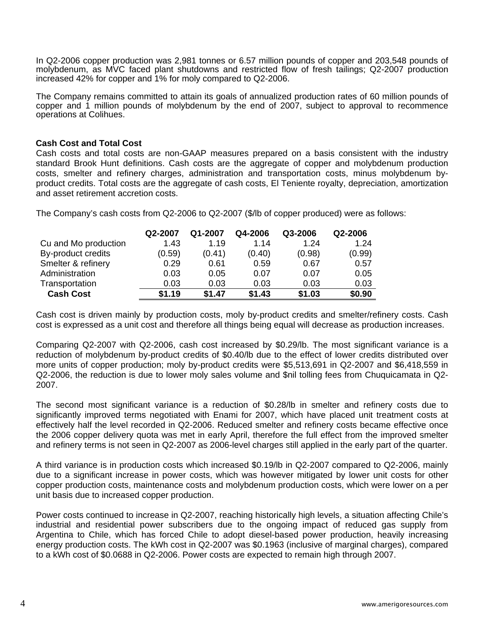In Q2-2006 copper production was 2,981 tonnes or 6.57 million pounds of copper and 203,548 pounds of molybdenum, as MVC faced plant shutdowns and restricted flow of fresh tailings; Q2-2007 production increased 42% for copper and 1% for moly compared to Q2-2006.

The Company remains committed to attain its goals of annualized production rates of 60 million pounds of copper and 1 million pounds of molybdenum by the end of 2007, subject to approval to recommence operations at Colihues.

### **Cash Cost and Total Cost**

Cash costs and total costs are non-GAAP measures prepared on a basis consistent with the industry standard Brook Hunt definitions. Cash costs are the aggregate of copper and molybdenum production costs, smelter and refinery charges, administration and transportation costs, minus molybdenum byproduct credits. Total costs are the aggregate of cash costs, El Teniente royalty, depreciation, amortization and asset retirement accretion costs.

The Company's cash costs from Q2-2006 to Q2-2007 (\$/lb of copper produced) were as follows:

|                      | Q2-2007 | Q1-2007 | Q4-2006 | Q3-2006 | Q2-2006 |
|----------------------|---------|---------|---------|---------|---------|
| Cu and Mo production | 1.43    | 1.19    | 1.14    | 1.24    | 1.24    |
| By-product credits   | (0.59)  | (0.41)  | (0.40)  | (0.98)  | (0.99)  |
| Smelter & refinery   | 0.29    | 0.61    | 0.59    | 0.67    | 0.57    |
| Administration       | 0.03    | 0.05    | 0.07    | 0.07    | 0.05    |
| Transportation       | 0.03    | 0.03    | 0.03    | 0.03    | 0.03    |
| <b>Cash Cost</b>     | \$1.19  | \$1.47  | \$1.43  | \$1.03  | \$0.90  |

Cash cost is driven mainly by production costs, moly by-product credits and smelter/refinery costs. Cash cost is expressed as a unit cost and therefore all things being equal will decrease as production increases.

Comparing Q2-2007 with Q2-2006, cash cost increased by \$0.29/lb. The most significant variance is a reduction of molybdenum by-product credits of \$0.40/lb due to the effect of lower credits distributed over more units of copper production; moly by-product credits were \$5,513,691 in Q2-2007 and \$6,418,559 in Q2-2006, the reduction is due to lower moly sales volume and \$nil tolling fees from Chuquicamata in Q2- 2007.

The second most significant variance is a reduction of \$0.28/lb in smelter and refinery costs due to significantly improved terms negotiated with Enami for 2007, which have placed unit treatment costs at effectively half the level recorded in Q2-2006. Reduced smelter and refinery costs became effective once the 2006 copper delivery quota was met in early April, therefore the full effect from the improved smelter and refinery terms is not seen in Q2-2007 as 2006-level charges still applied in the early part of the quarter.

A third variance is in production costs which increased \$0.19/lb in Q2-2007 compared to Q2-2006, mainly due to a significant increase in power costs, which was however mitigated by lower unit costs for other copper production costs, maintenance costs and molybdenum production costs, which were lower on a per unit basis due to increased copper production.

Power costs continued to increase in Q2-2007, reaching historically high levels, a situation affecting Chile's industrial and residential power subscribers due to the ongoing impact of reduced gas supply from Argentina to Chile, which has forced Chile to adopt diesel-based power production, heavily increasing energy production costs. The kWh cost in Q2-2007 was \$0.1963 (inclusive of marginal charges), compared to a kWh cost of \$0.0688 in Q2-2006. Power costs are expected to remain high through 2007.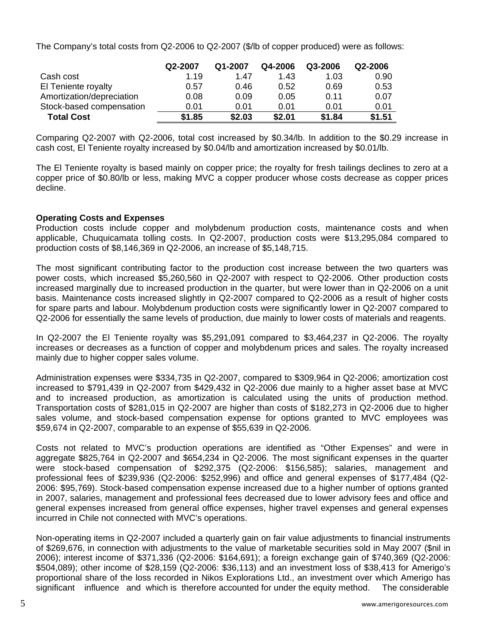The Company's total costs from Q2-2006 to Q2-2007 (\$/lb of copper produced) were as follows:

|                           | Q2-2007 | Q1-2007 | Q4-2006 | Q3-2006 | Q2-2006 |
|---------------------------|---------|---------|---------|---------|---------|
| Cash cost                 | 1.19    | 1.47    | 1.43    | 1.03    | 0.90    |
| El Teniente royalty       | 0.57    | 0.46    | 0.52    | 0.69    | 0.53    |
| Amortization/depreciation | 0.08    | 0.09    | 0.05    | 0.11    | 0.07    |
| Stock-based compensation  | 0.01    | 0.01    | 0.01    | 0.01    | 0.01    |
| <b>Total Cost</b>         | \$1.85  | \$2.03  | \$2.01  | \$1.84  | \$1.51  |

Comparing Q2-2007 with Q2-2006, total cost increased by \$0.34/lb. In addition to the \$0.29 increase in cash cost, El Teniente royalty increased by \$0.04/lb and amortization increased by \$0.01/lb.

The El Teniente royalty is based mainly on copper price; the royalty for fresh tailings declines to zero at a copper price of \$0.80/lb or less, making MVC a copper producer whose costs decrease as copper prices decline.

# **Operating Costs and Expenses**

Production costs include copper and molybdenum production costs, maintenance costs and when applicable, Chuquicamata tolling costs. In Q2-2007, production costs were \$13,295,084 compared to production costs of \$8,146,369 in Q2-2006, an increase of \$5,148,715.

The most significant contributing factor to the production cost increase between the two quarters was power costs, which increased \$5,260,560 in Q2-2007 with respect to Q2-2006. Other production costs increased marginally due to increased production in the quarter, but were lower than in Q2-2006 on a unit basis. Maintenance costs increased slightly in Q2-2007 compared to Q2-2006 as a result of higher costs for spare parts and labour. Molybdenum production costs were significantly lower in Q2-2007 compared to Q2-2006 for essentially the same levels of production, due mainly to lower costs of materials and reagents.

In Q2-2007 the El Teniente royalty was \$5,291,091 compared to \$3,464,237 in Q2-2006. The royalty increases or decreases as a function of copper and molybdenum prices and sales. The royalty increased mainly due to higher copper sales volume.

Administration expenses were \$334,735 in Q2-2007, compared to \$309,964 in Q2-2006; amortization cost increased to \$791,439 in Q2-2007 from \$429,432 in Q2-2006 due mainly to a higher asset base at MVC and to increased production, as amortization is calculated using the units of production method. Transportation costs of \$281,015 in Q2-2007 are higher than costs of \$182,273 in Q2-2006 due to higher sales volume, and stock-based compensation expense for options granted to MVC employees was \$59,674 in Q2-2007, comparable to an expense of \$55,639 in Q2-2006.

Costs not related to MVC's production operations are identified as "Other Expenses" and were in aggregate \$825,764 in Q2-2007 and \$654,234 in Q2-2006. The most significant expenses in the quarter were stock-based compensation of \$292,375 (Q2-2006: \$156,585); salaries, management and professional fees of \$239,936 (Q2-2006: \$252,996) and office and general expenses of \$177,484 (Q2- 2006: \$95,769). Stock-based compensation expense increased due to a higher number of options granted in 2007, salaries, management and professional fees decreased due to lower advisory fees and office and general expenses increased from general office expenses, higher travel expenses and general expenses incurred in Chile not connected with MVC's operations.

Non-operating items in Q2-2007 included a quarterly gain on fair value adjustments to financial instruments of \$269,676, in connection with adjustments to the value of marketable securities sold in May 2007 (\$nil in 2006); interest income of \$371,336 (Q2-2006: \$164,691); a foreign exchange gain of \$740,369 (Q2-2006: \$504,089); other income of \$28,159 (Q2-2006: \$36,113) and an investment loss of \$38,413 for Amerigo's proportional share of the loss recorded in Nikos Explorations Ltd., an investment over which Amerigo has significant influence and which is therefore accounted for under the equity method. The considerable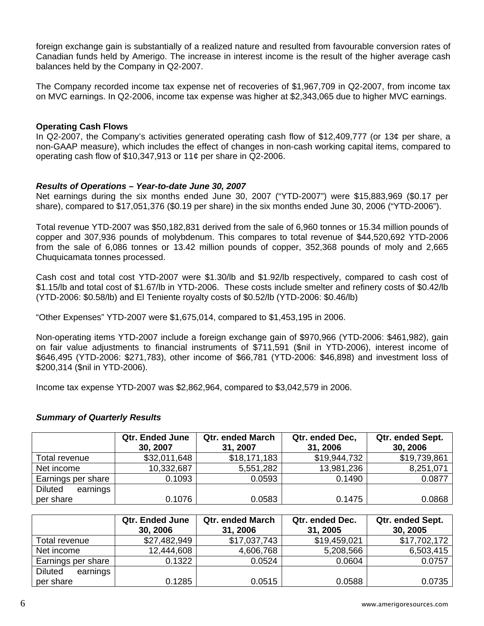foreign exchange gain is substantially of a realized nature and resulted from favourable conversion rates of Canadian funds held by Amerigo. The increase in interest income is the result of the higher average cash balances held by the Company in Q2-2007.

The Company recorded income tax expense net of recoveries of \$1,967,709 in Q2-2007, from income tax on MVC earnings. In Q2-2006, income tax expense was higher at \$2,343,065 due to higher MVC earnings.

## **Operating Cash Flows**

In Q2-2007, the Company's activities generated operating cash flow of \$12,409,777 (or 13¢ per share, a non-GAAP measure), which includes the effect of changes in non-cash working capital items, compared to operating cash flow of \$10,347,913 or 11¢ per share in Q2-2006.

### *Results of Operations – Year-to-date June 30, 2007*

Net earnings during the six months ended June 30, 2007 ("YTD-2007") were \$15,883,969 (\$0.17 per share), compared to \$17,051,376 (\$0.19 per share) in the six months ended June 30, 2006 ("YTD-2006").

Total revenue YTD-2007 was \$50,182,831 derived from the sale of 6,960 tonnes or 15.34 million pounds of copper and 307,936 pounds of molybdenum. This compares to total revenue of \$44,520,692 YTD-2006 from the sale of 6,086 tonnes or 13.42 million pounds of copper, 352,368 pounds of moly and 2,665 Chuquicamata tonnes processed.

Cash cost and total cost YTD-2007 were \$1.30/lb and \$1.92/lb respectively, compared to cash cost of \$1.15/lb and total cost of \$1.67/lb in YTD-2006. These costs include smelter and refinery costs of \$0.42/lb (YTD-2006: \$0.58/lb) and El Teniente royalty costs of \$0.52/lb (YTD-2006: \$0.46/lb)

"Other Expenses" YTD-2007 were \$1,675,014, compared to \$1,453,195 in 2006.

Non-operating items YTD-2007 include a foreign exchange gain of \$970,966 (YTD-2006: \$461,982), gain on fair value adjustments to financial instruments of \$711,591 (\$nil in YTD-2006), interest income of \$646,495 (YTD-2006: \$271,783), other income of \$66,781 (YTD-2006: \$46,898) and investment loss of \$200,314 (\$nil in YTD-2006).

Income tax expense YTD-2007 was \$2,862,964, compared to \$3,042,579 in 2006.

# *Summary of Quarterly Results*

|                            | <b>Qtr. Ended June</b><br>30, 2007 | <b>Qtr. ended March</b><br>31, 2007 | Qtr. ended Dec,<br>31, 2006 | Qtr. ended Sept.<br>30, 2006 |
|----------------------------|------------------------------------|-------------------------------------|-----------------------------|------------------------------|
| Total revenue              | \$32,011,648                       | \$18,171,183                        | \$19,944,732                | \$19,739,861                 |
| Net income                 | 10,332,687                         | 5,551,282                           | 13,981,236                  | 8,251,071                    |
| Earnings per share         | 0.1093                             | 0.0593                              | 0.1490                      | 0.0877                       |
| <b>Diluted</b><br>earnings |                                    |                                     |                             |                              |
| per share                  | 0.1076                             | 0.0583                              | 0.1475                      | 0.0868                       |

|                            | <b>Qtr. Ended June</b><br>30, 2006 | <b>Qtr. ended March</b><br>31, 2006 | Qtr. ended Dec.<br>31, 2005 | Qtr. ended Sept.<br>30, 2005 |
|----------------------------|------------------------------------|-------------------------------------|-----------------------------|------------------------------|
| Total revenue              | \$27,482,949                       | \$17,037,743                        | \$19,459,021                | \$17,702,172                 |
| Net income                 | 12,444,608                         | 4,606,768                           | 5,208,566                   | 6,503,415                    |
| Earnings per share         | 0.1322                             | 0.0524                              | 0.0604                      | 0.0757                       |
| <b>Diluted</b><br>earnings |                                    |                                     |                             |                              |
| per share                  | 0.1285                             | 0.0515                              | 0.0588                      | 0.0735                       |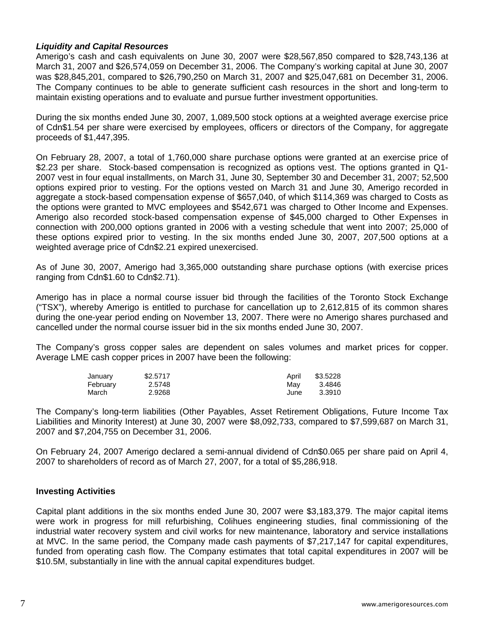## *Liquidity and Capital Resources*

Amerigo's cash and cash equivalents on June 30, 2007 were \$28,567,850 compared to \$28,743,136 at March 31, 2007 and \$26,574,059 on December 31, 2006. The Company's working capital at June 30, 2007 was \$28,845,201, compared to \$26,790,250 on March 31, 2007 and \$25,047,681 on December 31, 2006. The Company continues to be able to generate sufficient cash resources in the short and long-term to maintain existing operations and to evaluate and pursue further investment opportunities.

During the six months ended June 30, 2007, 1,089,500 stock options at a weighted average exercise price of Cdn\$1.54 per share were exercised by employees, officers or directors of the Company, for aggregate proceeds of \$1,447,395.

On February 28, 2007, a total of 1,760,000 share purchase options were granted at an exercise price of \$2.23 per share. Stock-based compensation is recognized as options vest. The options granted in Q1- 2007 vest in four equal installments, on March 31, June 30, September 30 and December 31, 2007; 52,500 options expired prior to vesting. For the options vested on March 31 and June 30, Amerigo recorded in aggregate a stock-based compensation expense of \$657,040, of which \$114,369 was charged to Costs as the options were granted to MVC employees and \$542,671 was charged to Other Income and Expenses. Amerigo also recorded stock-based compensation expense of \$45,000 charged to Other Expenses in connection with 200,000 options granted in 2006 with a vesting schedule that went into 2007; 25,000 of these options expired prior to vesting. In the six months ended June 30, 2007, 207,500 options at a weighted average price of Cdn\$2.21 expired unexercised.

As of June 30, 2007, Amerigo had 3,365,000 outstanding share purchase options (with exercise prices ranging from Cdn\$1.60 to Cdn\$2.71).

Amerigo has in place a normal course issuer bid through the facilities of the Toronto Stock Exchange ("TSX"), whereby Amerigo is entitled to purchase for cancellation up to 2,612,815 of its common shares during the one-year period ending on November 13, 2007. There were no Amerigo shares purchased and cancelled under the normal course issuer bid in the six months ended June 30, 2007.

The Company's gross copper sales are dependent on sales volumes and market prices for copper. Average LME cash copper prices in 2007 have been the following:

| January  | \$2,5717 | April | \$3.5228 |
|----------|----------|-------|----------|
| February | 2.5748   | Mav   | 3.4846   |
| March    | 2.9268   | June  | 3.3910   |

The Company's long-term liabilities (Other Payables, Asset Retirement Obligations, Future Income Tax Liabilities and Minority Interest) at June 30, 2007 were \$8,092,733, compared to \$7,599,687 on March 31, 2007 and \$7,204,755 on December 31, 2006.

On February 24, 2007 Amerigo declared a semi-annual dividend of Cdn\$0.065 per share paid on April 4, 2007 to shareholders of record as of March 27, 2007, for a total of \$5,286,918.

# **Investing Activities**

Capital plant additions in the six months ended June 30, 2007 were \$3,183,379. The major capital items were work in progress for mill refurbishing, Colihues engineering studies, final commissioning of the industrial water recovery system and civil works for new maintenance, laboratory and service installations at MVC. In the same period, the Company made cash payments of \$7,217,147 for capital expenditures, funded from operating cash flow. The Company estimates that total capital expenditures in 2007 will be \$10.5M, substantially in line with the annual capital expenditures budget.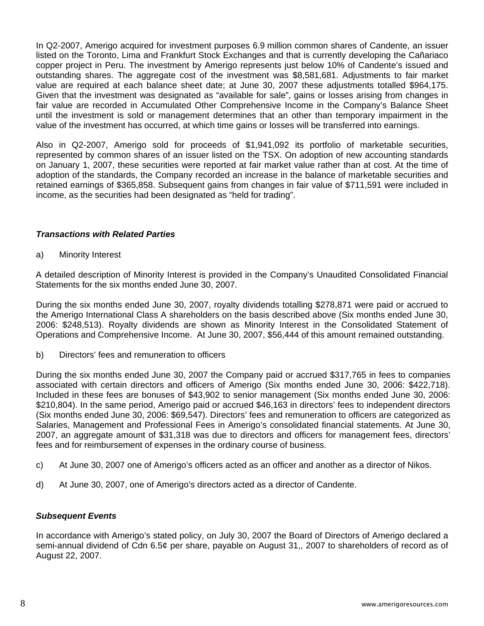In Q2-2007, Amerigo acquired for investment purposes 6.9 million common shares of Candente, an issuer listed on the Toronto, Lima and Frankfurt Stock Exchanges and that is currently developing the Cañariaco copper project in Peru. The investment by Amerigo represents just below 10% of Candente's issued and outstanding shares. The aggregate cost of the investment was \$8,581,681. Adjustments to fair market value are required at each balance sheet date; at June 30, 2007 these adjustments totalled \$964,175. Given that the investment was designated as "available for sale", gains or losses arising from changes in fair value are recorded in Accumulated Other Comprehensive Income in the Company's Balance Sheet until the investment is sold or management determines that an other than temporary impairment in the value of the investment has occurred, at which time gains or losses will be transferred into earnings.

Also in Q2-2007, Amerigo sold for proceeds of \$1,941,092 its portfolio of marketable securities, represented by common shares of an issuer listed on the TSX. On adoption of new accounting standards on January 1, 2007, these securities were reported at fair market value rather than at cost. At the time of adoption of the standards, the Company recorded an increase in the balance of marketable securities and retained earnings of \$365,858. Subsequent gains from changes in fair value of \$711,591 were included in income, as the securities had been designated as "held for trading".

# *Transactions with Related Parties*

a) Minority Interest

A detailed description of Minority Interest is provided in the Company's Unaudited Consolidated Financial Statements for the six months ended June 30, 2007.

During the six months ended June 30, 2007, royalty dividends totalling \$278,871 were paid or accrued to the Amerigo International Class A shareholders on the basis described above (Six months ended June 30, 2006: \$248,513). Royalty dividends are shown as Minority Interest in the Consolidated Statement of Operations and Comprehensive Income. At June 30, 2007, \$56,444 of this amount remained outstanding.

b) Directors' fees and remuneration to officers

During the six months ended June 30, 2007 the Company paid or accrued \$317,765 in fees to companies associated with certain directors and officers of Amerigo (Six months ended June 30, 2006: \$422,718). Included in these fees are bonuses of \$43,902 to senior management (Six months ended June 30, 2006: \$210,804). In the same period, Amerigo paid or accrued \$46,163 in directors' fees to independent directors (Six months ended June 30, 2006: \$69,547). Directors' fees and remuneration to officers are categorized as Salaries, Management and Professional Fees in Amerigo's consolidated financial statements. At June 30, 2007, an aggregate amount of \$31,318 was due to directors and officers for management fees, directors' fees and for reimbursement of expenses in the ordinary course of business.

- c) At June 30, 2007 one of Amerigo's officers acted as an officer and another as a director of Nikos.
- d) At June 30, 2007, one of Amerigo's directors acted as a director of Candente.

### *Subsequent Events*

In accordance with Amerigo's stated policy, on July 30, 2007 the Board of Directors of Amerigo declared a semi-annual dividend of Cdn 6.5¢ per share, payable on August 31,, 2007 to shareholders of record as of August 22, 2007.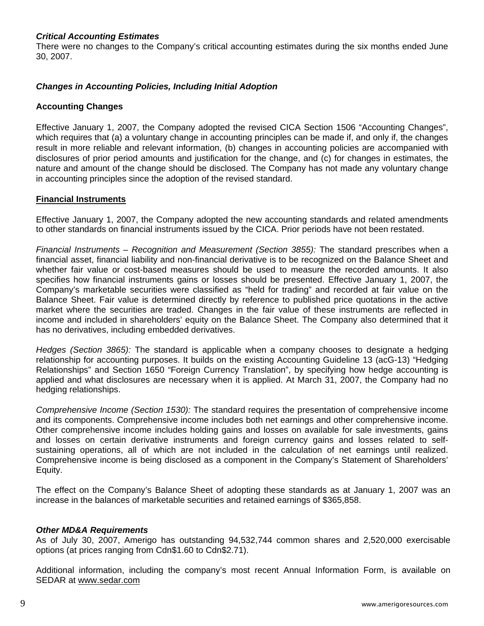# *Critical Accounting Estimates*

There were no changes to the Company's critical accounting estimates during the six months ended June 30, 2007.

# *Changes in Accounting Policies, Including Initial Adoption*

## **Accounting Changes**

Effective January 1, 2007, the Company adopted the revised CICA Section 1506 "Accounting Changes", which requires that (a) a voluntary change in accounting principles can be made if, and only if, the changes result in more reliable and relevant information, (b) changes in accounting policies are accompanied with disclosures of prior period amounts and justification for the change, and (c) for changes in estimates, the nature and amount of the change should be disclosed. The Company has not made any voluntary change in accounting principles since the adoption of the revised standard.

### **Financial Instruments**

Effective January 1, 2007, the Company adopted the new accounting standards and related amendments to other standards on financial instruments issued by the CICA. Prior periods have not been restated.

*Financial Instruments – Recognition and Measurement (Section 3855):* The standard prescribes when a financial asset, financial liability and non-financial derivative is to be recognized on the Balance Sheet and whether fair value or cost-based measures should be used to measure the recorded amounts. It also specifies how financial instruments gains or losses should be presented. Effective January 1, 2007, the Company's marketable securities were classified as "held for trading" and recorded at fair value on the Balance Sheet. Fair value is determined directly by reference to published price quotations in the active market where the securities are traded. Changes in the fair value of these instruments are reflected in income and included in shareholders' equity on the Balance Sheet. The Company also determined that it has no derivatives, including embedded derivatives.

*Hedges (Section 3865):* The standard is applicable when a company chooses to designate a hedging relationship for accounting purposes. It builds on the existing Accounting Guideline 13 (acG-13) "Hedging Relationships" and Section 1650 "Foreign Currency Translation", by specifying how hedge accounting is applied and what disclosures are necessary when it is applied. At March 31, 2007, the Company had no hedging relationships.

*Comprehensive Income (Section 1530):* The standard requires the presentation of comprehensive income and its components. Comprehensive income includes both net earnings and other comprehensive income. Other comprehensive income includes holding gains and losses on available for sale investments, gains and losses on certain derivative instruments and foreign currency gains and losses related to selfsustaining operations, all of which are not included in the calculation of net earnings until realized. Comprehensive income is being disclosed as a component in the Company's Statement of Shareholders' Equity.

The effect on the Company's Balance Sheet of adopting these standards as at January 1, 2007 was an increase in the balances of marketable securities and retained earnings of \$365,858.

### *Other MD&A Requirements*

As of July 30, 2007, Amerigo has outstanding 94,532,744 common shares and 2,520,000 exercisable options (at prices ranging from Cdn\$1.60 to Cdn\$2.71).

Additional information, including the company's most recent Annual Information Form, is available on SEDAR at [www.sedar.com](http://www.sedar.com/)